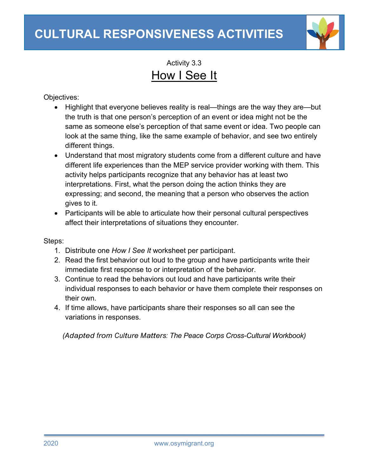

Activity 3.3 How I See It

Objectives:

- Highlight that everyone believes reality is real—things are the way they are—but the truth is that one person's perception of an event or idea might not be the same as someone else's perception of that same event or idea. Two people can look at the same thing, like the same example of behavior, and see two entirely different things.
- Understand that most migratory students come from a different culture and have different life experiences than the MEP service provider working with them. This activity helps participants recognize that any behavior has at least two interpretations. First, what the person doing the action thinks they are expressing; and second, the meaning that a person who observes the action gives to it.
- Participants will be able to articulate how their personal cultural perspectives affect their interpretations of situations they encounter.

Steps:

- 1. Distribute one *How I See It* worksheet per participant.
- 2. Read the first behavior out loud to the group and have participants write their immediate first response to or interpretation of the behavior.
- 3. Continue to read the behaviors out loud and have participants write their individual responses to each behavior or have them complete their responses on their own.
- 4. If time allows, have participants share their responses so all can see the variations in responses.

*(Adapted from Culture Matters: The Peace Corps Cross-Cultural Workbook)*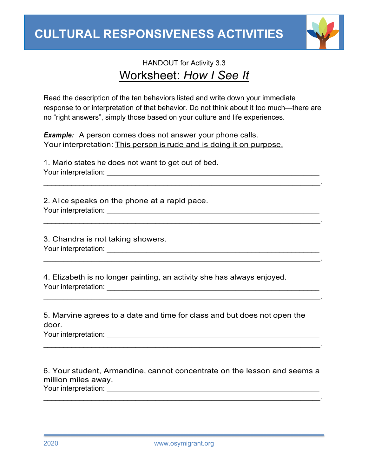

## HANDOUT for Activity 3.3 Worksheet: *How I See It*

Read the description of the ten behaviors listed and write down your immediate response to or interpretation of that behavior. Do not think about it too much—there are no "right answers", simply those based on your culture and life experiences.

\_\_\_\_\_\_\_\_\_\_\_\_\_\_\_\_\_\_\_\_\_\_\_\_\_\_\_\_\_\_\_\_\_\_\_\_\_\_\_\_\_\_\_\_\_\_\_\_\_\_\_\_\_\_\_\_\_\_\_\_\_\_\_\_\_\_\_\_\_.

\_\_\_\_\_\_\_\_\_\_\_\_\_\_\_\_\_\_\_\_\_\_\_\_\_\_\_\_\_\_\_\_\_\_\_\_\_\_\_\_\_\_\_\_\_\_\_\_\_\_\_\_\_\_\_\_\_\_\_\_\_\_\_\_\_\_\_\_\_.

 $\mathcal{L}_\text{max}$  and  $\mathcal{L}_\text{max}$  and  $\mathcal{L}_\text{max}$  and  $\mathcal{L}_\text{max}$  and  $\mathcal{L}_\text{max}$  and  $\mathcal{L}_\text{max}$ 

 $\mathcal{L}_\text{max}$  and  $\mathcal{L}_\text{max}$  and  $\mathcal{L}_\text{max}$  and  $\mathcal{L}_\text{max}$  and  $\mathcal{L}_\text{max}$  and  $\mathcal{L}_\text{max}$ 

*Example:* A person comes does not answer your phone calls. Your interpretation: This person is rude and is doing it on purpose.

1. Mario states he does not want to get out of bed. Your interpretation: \_\_\_\_\_\_\_\_\_\_\_\_\_\_\_\_\_\_\_\_\_\_\_\_\_\_\_\_\_\_\_\_\_\_\_\_\_\_\_\_\_\_\_\_\_\_\_\_\_\_\_\_\_

2. Alice speaks on the phone at a rapid pace. Your interpretation: \_\_\_\_\_\_\_\_\_\_\_\_\_\_\_\_\_\_\_\_\_\_\_\_\_\_\_\_\_\_\_\_\_\_\_\_\_\_\_\_\_\_\_\_\_\_\_\_\_\_\_\_\_

3. Chandra is not taking showers. Your interpretation: \_\_\_\_\_\_\_\_\_\_\_\_\_\_\_\_\_\_\_\_\_\_\_\_\_\_\_\_\_\_\_\_\_\_\_\_\_\_\_\_\_\_\_\_\_\_\_\_\_\_\_\_\_

4. Elizabeth is no longer painting, an activity she has always enjoyed. Your interpretation: \_\_\_\_\_\_\_\_\_\_\_\_\_\_\_\_\_\_\_\_\_\_\_\_\_\_\_\_\_\_\_\_\_\_\_\_\_\_\_\_\_\_\_\_\_\_\_\_\_\_\_\_\_

5. Marvine agrees to a date and time for class and but does not open the door.

Your interpretation: \_\_\_\_\_\_\_\_\_\_\_\_\_\_\_\_\_\_\_\_\_\_\_\_\_\_\_\_\_\_\_\_\_\_\_\_\_\_\_\_\_\_\_\_\_\_\_\_\_\_\_\_\_

6. Your student, Armandine, cannot concentrate on the lesson and seems a million miles away. Your interpretation: \_\_\_\_\_\_\_\_\_\_\_\_\_\_\_\_\_\_\_\_\_\_\_\_\_\_\_\_\_\_\_\_\_\_\_\_\_\_\_\_\_\_\_\_\_\_\_\_\_\_\_\_\_

 $\mathcal{L}_\text{max}$  and  $\mathcal{L}_\text{max}$  and  $\mathcal{L}_\text{max}$  and  $\mathcal{L}_\text{max}$  and  $\mathcal{L}_\text{max}$  and  $\mathcal{L}_\text{max}$ 

\_\_\_\_\_\_\_\_\_\_\_\_\_\_\_\_\_\_\_\_\_\_\_\_\_\_\_\_\_\_\_\_\_\_\_\_\_\_\_\_\_\_\_\_\_\_\_\_\_\_\_\_\_\_\_\_\_\_\_\_\_\_\_\_\_\_\_\_\_.